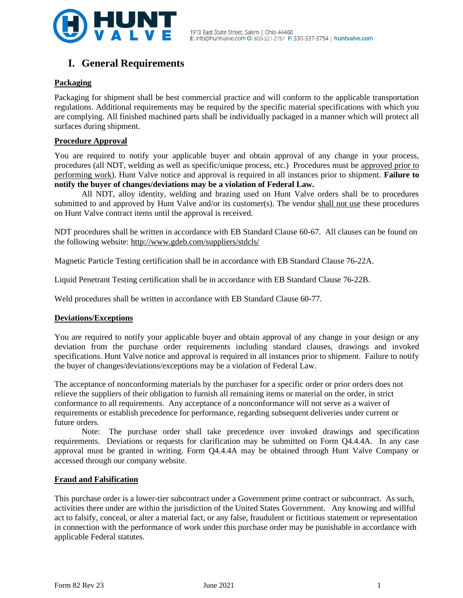

# **I. General Requirements**

# **Packaging**

Packaging for shipment shall be best commercial practice and will conform to the applicable transportation regulations. Additional requirements may be required by the specific material specifications with which you are complying. All finished machined parts shall be individually packaged in a manner which will protect all surfaces during shipment.

#### **Procedure Approval**

You are required to notify your applicable buyer and obtain approval of any change in your process, procedures (all NDT, welding as well as specific/unique process, etc.) Procedures must be approved prior to performing work). Hunt Valve notice and approval is required in all instances prior to shipment. **Failure to notify the buyer of changes/deviations may be a violation of Federal Law.**

All NDT, alloy identity, welding and brazing used on Hunt Valve orders shall be to procedures submitted to and approved by Hunt Valve and/or its customer(s). The vendor shall not use these procedures on Hunt Valve contract items until the approval is received.

NDT procedures shall be written in accordance with EB Standard Clause 60-67. All clauses can be found on the following website:<http://www.gdeb.com/suppliers/stdcls/>

Magnetic Particle Testing certification shall be in accordance with EB Standard Clause 76-22A.

Liquid Penetrant Testing certification shall be in accordance with EB Standard Clause 76-22B.

Weld procedures shall be written in accordance with EB Standard Clause 60-77.

#### **Deviations/Exceptions**

You are required to notify your applicable buyer and obtain approval of any change in your design or any deviation from the purchase order requirements including standard clauses, drawings and invoked specifications. Hunt Valve notice and approval is required in all instances prior to shipment. Failure to notify the buyer of changes/deviations/exceptions may be a violation of Federal Law.

The acceptance of nonconforming materials by the purchaser for a specific order or prior orders does not relieve the suppliers of their obligation to furnish all remaining items or material on the order, in strict conformance to all requirements. Any acceptance of a nonconformance will not serve as a waiver of requirements or establish precedence for performance, regarding subsequent deliveries under current or future orders.

Note: The purchase order shall take precedence over invoked drawings and specification requirements. Deviations or requests for clarification may be submitted on Form Q4.4.4A. In any case approval must be granted in writing. Form Q4.4.4A may be obtained through Hunt Valve Company or accessed through our company website.

#### **Fraud and Falsification**

This purchase order is a lower-tier subcontract under a Government prime contract or subcontract. As such, activities there under are within the jurisdiction of the United States Government. Any knowing and willful act to falsify, conceal, or alter a material fact, or any false, fraudulent or fictitious statement or representation in connection with the performance of work under this purchase order may be punishable in accordance with applicable Federal statutes.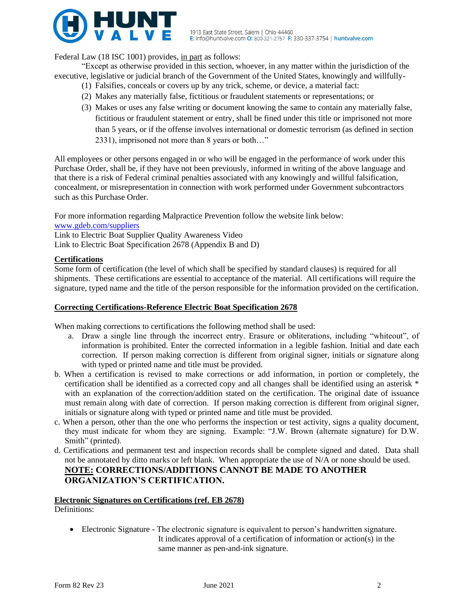

Federal Law (18 ISC 1001) provides, in part as follows:

"Except as otherwise provided in this section, whoever, in any matter within the jurisdiction of the executive, legislative or judicial branch of the Government of the United States, knowingly and willfully-

- (1) Falsifies, conceals or covers up by any trick, scheme, or device, a material fact:
- (2) Makes any materially false, fictitious or fraudulent statements or representations; or
- (3) Makes or uses any false writing or document knowing the same to contain any materially false, fictitious or fraudulent statement or entry, shall be fined under this title or imprisoned not more than 5 years, or if the offense involves international or domestic terrorism (as defined in section 2331), imprisoned not more than 8 years or both…"

All employees or other persons engaged in or who will be engaged in the performance of work under this Purchase Order, shall be, if they have not been previously, informed in writing of the above language and that there is a risk of Federal criminal penalties associated with any knowingly and willful falsification, concealment, or misrepresentation in connection with work performed under Government subcontractors such as this Purchase Order.

For more information regarding Malpractice Prevention follow the website link below:

[www.gdeb.com/suppliers](http://www.gdeb.com/suppliers)

Link to Electric Boat Supplier Quality Awareness Video Link to Electric Boat Specification 2678 (Appendix B and D)

# **Certifications**

Some form of certification (the level of which shall be specified by standard clauses) is required for all shipments. These certifications are essential to acceptance of the material. All certifications will require the signature, typed name and the title of the person responsible for the information provided on the certification.

# **Correcting Certifications-Reference Electric Boat Specification 2678**

When making corrections to certifications the following method shall be used:

- a. Draw a single line through the incorrect entry. Erasure or obliterations, including "whiteout", of information is prohibited. Enter the corrected information in a legible fashion. Initial and date each correction. If person making correction is different from original signer, initials or signature along with typed or printed name and title must be provided.
- b. When a certification is revised to make corrections or add information, in portion or completely, the certification shall be identified as a corrected copy and all changes shall be identified using an asterisk \* with an explanation of the correction/addition stated on the certification. The original date of issuance must remain along with date of correction. If person making correction is different from original signer, initials or signature along with typed or printed name and title must be provided.
- c. When a person, other than the one who performs the inspection or test activity, signs a quality document, they must indicate for whom they are signing. Example: "J.W. Brown (alternate signature) for D.W. Smith" (printed).
- d. Certifications and permanent test and inspection records shall be complete signed and dated. Data shall not be annotated by ditto marks or left blank. When appropriate the use of N/A or none should be used. **NOTE: CORRECTIONS/ADDITIONS CANNOT BE MADE TO ANOTHER ORGANIZATION'S CERTIFICATION.**

#### **Electronic Signatures on Certifications (ref. EB 2678)** Definitions:

• Electronic Signature - The electronic signature is equivalent to person's handwritten signature. It indicates approval of a certification of information or action(s) in the same manner as pen-and-ink signature.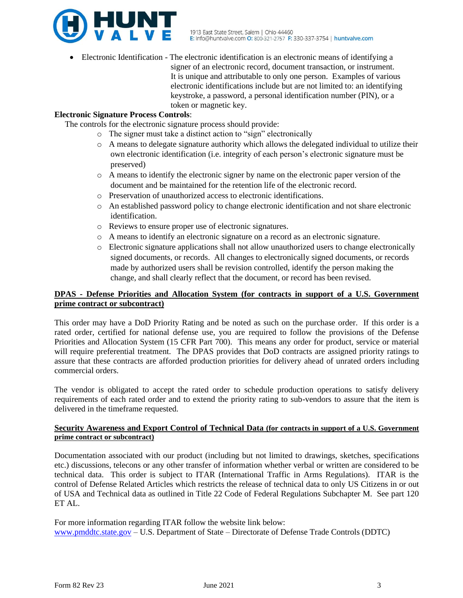

• Electronic Identification - The electronic identification is an electronic means of identifying a signer of an electronic record, document transaction, or instrument. It is unique and attributable to only one person. Examples of various electronic identifications include but are not limited to: an identifying keystroke, a password, a personal identification number (PIN), or a token or magnetic key.

# **Electronic Signature Process Controls**:

The controls for the electronic signature process should provide:

- o The signer must take a distinct action to "sign" electronically
- $\circ$  A means to delegate signature authority which allows the delegated individual to utilize their own electronic identification (i.e. integrity of each person's electronic signature must be preserved)
- $\circ$  A means to identify the electronic signer by name on the electronic paper version of the document and be maintained for the retention life of the electronic record.
- o Preservation of unauthorized access to electronic identifications.
- o An established password policy to change electronic identification and not share electronic identification.
- o Reviews to ensure proper use of electronic signatures.
- o A means to identify an electronic signature on a record as an electronic signature.
- o Electronic signature applications shall not allow unauthorized users to change electronically signed documents, or records. All changes to electronically signed documents, or records made by authorized users shall be revision controlled, identify the person making the change, and shall clearly reflect that the document, or record has been revised.

# **DPAS - Defense Priorities and Allocation System (for contracts in support of a U.S. Government prime contract or subcontract)**

This order may have a DoD Priority Rating and be noted as such on the purchase order. If this order is a rated order, certified for national defense use, you are required to follow the provisions of the Defense Priorities and Allocation System (15 CFR Part 700). This means any order for product, service or material will require preferential treatment. The DPAS provides that DoD contracts are assigned priority ratings to assure that these contracts are afforded production priorities for delivery ahead of unrated orders including commercial orders.

The vendor is obligated to accept the rated order to schedule production operations to satisfy delivery requirements of each rated order and to extend the priority rating to sub-vendors to assure that the item is delivered in the timeframe requested.

# **Security Awareness and Export Control of Technical Data (for contracts in support of a U.S. Government prime contract or subcontract)**

Documentation associated with our product (including but not limited to drawings, sketches, specifications etc.) discussions, telecons or any other transfer of information whether verbal or written are considered to be technical data. This order is subject to ITAR (International Traffic in Arms Regulations). ITAR is the control of Defense Related Articles which restricts the release of technical data to only US Citizens in or out of USA and Technical data as outlined in Title 22 Code of Federal Regulations Subchapter M. See part 120 ET AL.

For more information regarding ITAR follow the website link below: [www.pmddtc.state.gov](http://www.pmddtc.state.gov/) – U.S. Department of State – Directorate of Defense Trade Controls (DDTC)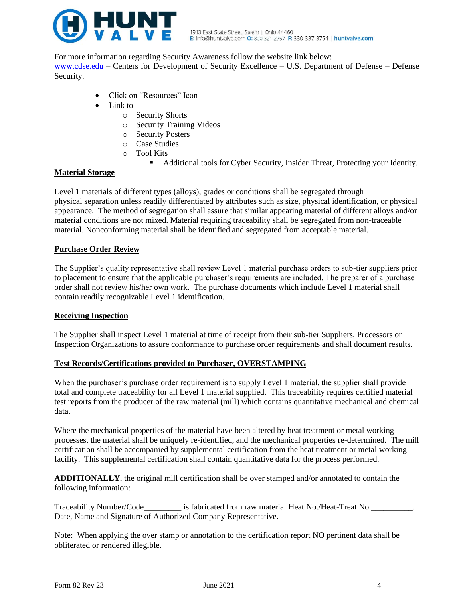

For more information regarding Security Awareness follow the website link below:

[www.cdse.edu](http://www.cdse.edu/) – Centers for Development of Security Excellence – U.S. Department of Defense – Defense Security.

- Click on "Resources" Icon
- Link to
	- o Security Shorts
	- o Security Training Videos
	- o Security Posters
	- o Case Studies
	- o Tool Kits
		- Additional tools for Cyber Security, Insider Threat, Protecting your Identity.

# **Material Storage**

Level 1 materials of different types (alloys), grades or conditions shall be segregated through physical separation unless readily differentiated by attributes such as size, physical identification, or physical appearance. The method of segregation shall assure that similar appearing material of different alloys and/or material conditions are not mixed. Material requiring traceability shall be segregated from non-traceable material. Nonconforming material shall be identified and segregated from acceptable material.

# **Purchase Order Review**

The Supplier's quality representative shall review Level 1 material purchase orders to sub-tier suppliers prior to placement to ensure that the applicable purchaser's requirements are included. The preparer of a purchase order shall not review his/her own work. The purchase documents which include Level 1 material shall contain readily recognizable Level 1 identification.

# **Receiving Inspection**

The Supplier shall inspect Level 1 material at time of receipt from their sub-tier Suppliers, Processors or Inspection Organizations to assure conformance to purchase order requirements and shall document results.

# **Test Records/Certifications provided to Purchaser, OVERSTAMPING**

When the purchaser's purchase order requirement is to supply Level 1 material, the supplier shall provide total and complete traceability for all Level 1 material supplied. This traceability requires certified material test reports from the producer of the raw material (mill) which contains quantitative mechanical and chemical data.

Where the mechanical properties of the material have been altered by heat treatment or metal working processes, the material shall be uniquely re-identified, and the mechanical properties re-determined. The mill certification shall be accompanied by supplemental certification from the heat treatment or metal working facility. This supplemental certification shall contain quantitative data for the process performed.

**ADDITIONALLY**, the original mill certification shall be over stamped and/or annotated to contain the following information:

Traceability Number/Code\_\_\_\_\_\_\_\_\_\_\_\_ is fabricated from raw material Heat No./Heat-Treat No.\_\_\_ Date, Name and Signature of Authorized Company Representative.

Note: When applying the over stamp or annotation to the certification report NO pertinent data shall be obliterated or rendered illegible.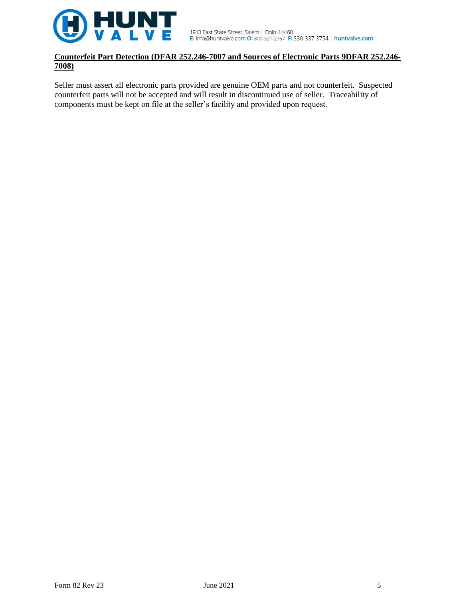

# **Counterfeit Part Detection (DFAR 252.246-7007 and Sources of Electronic Parts 9DFAR 252.246- 7008)**

Seller must assert all electronic parts provided are genuine OEM parts and not counterfeit. Suspected counterfeit parts will not be accepted and will result in discontinued use of seller. Traceability of components must be kept on file at the seller's facility and provided upon request.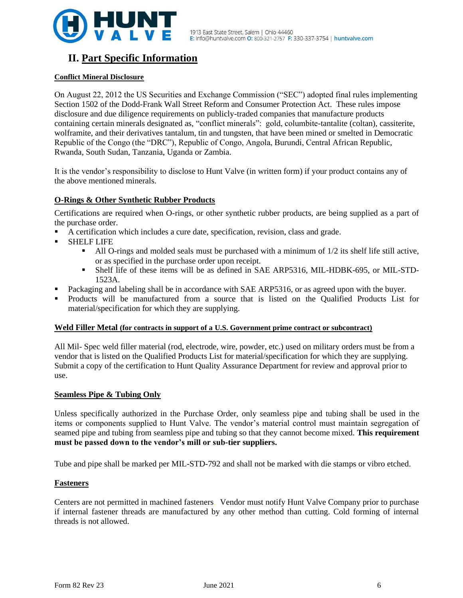

# **II. Part Specific Information**

# **Conflict Mineral Disclosure**

On August 22, 2012 the US Securities and Exchange Commission ("SEC") adopted final rules implementing Section 1502 of the Dodd-Frank Wall Street Reform and Consumer Protection Act. These rules impose disclosure and due diligence requirements on publicly-traded companies that manufacture products containing certain minerals designated as, "conflict minerals": gold, columbite-tantalite (coltan), cassiterite, wolframite, and their derivatives tantalum, tin and tungsten, that have been mined or smelted in Democratic Republic of the Congo (the "DRC"), Republic of Congo, Angola, Burundi, Central African Republic, Rwanda, South Sudan, Tanzania, Uganda or Zambia.

It is the vendor's responsibility to disclose to Hunt Valve (in written form) if your product contains any of the above mentioned minerals.

# **O-Rings & Other Synthetic Rubber Products**

Certifications are required when O-rings, or other synthetic rubber products, are being supplied as a part of the purchase order.

- A certification which includes a cure date, specification, revision, class and grade.
- **SHELF LIFE** 
	- $\blacksquare$  All O-rings and molded seals must be purchased with a minimum of  $1/2$  its shelf life still active, or as specified in the purchase order upon receipt.
	- Shelf life of these items will be as defined in SAE ARP5316, MIL-HDBK-695, or MIL-STD-1523A.
- Packaging and labeling shall be in accordance with SAE ARP5316, or as agreed upon with the buyer.
- Products will be manufactured from a source that is listed on the Qualified Products List for material/specification for which they are supplying.

# **Weld Filler Metal (for contracts in support of a U.S. Government prime contract or subcontract)**

All Mil- Spec weld filler material (rod, electrode, wire, powder, etc.) used on military orders must be from a vendor that is listed on the Qualified Products List for material/specification for which they are supplying. Submit a copy of the certification to Hunt Quality Assurance Department for review and approval prior to use.

# **Seamless Pipe & Tubing Only**

Unless specifically authorized in the Purchase Order, only seamless pipe and tubing shall be used in the items or components supplied to Hunt Valve. The vendor's material control must maintain segregation of seamed pipe and tubing from seamless pipe and tubing so that they cannot become mixed. **This requirement must be passed down to the vendor's mill or sub-tier suppliers.**

Tube and pipe shall be marked per MIL-STD-792 and shall not be marked with die stamps or vibro etched.

# **Fasteners**

Centers are not permitted in machined fasteners. Vendor must notify Hunt Valve Company prior to purchase if internal fastener threads are manufactured by any other method than cutting. Cold forming of internal threads is not allowed.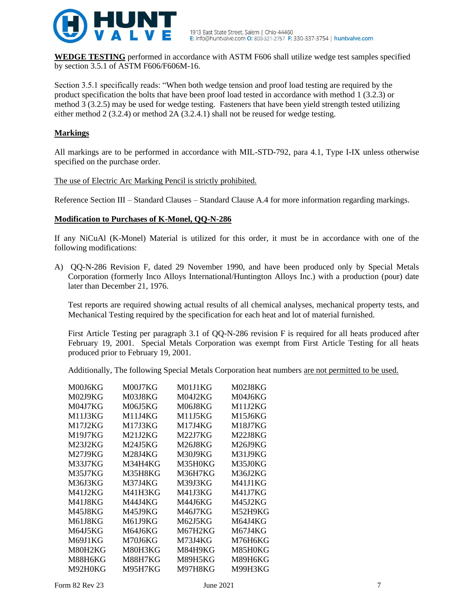

**WEDGE TESTING** performed in accordance with ASTM F606 shall utilize wedge test samples specified by section 3.5.1 of ASTM F606/F606M-16.

Section 3.5.1 specifically reads: "When both wedge tension and proof load testing are required by the product specification the bolts that have been proof load tested in accordance with method 1 (3.2.3) or method 3 (3.2.5) may be used for wedge testing. Fasteners that have been yield strength tested utilizing either method 2 (3.2.4) or method 2A (3.2.4.1) shall not be reused for wedge testing.

# **Markings**

All markings are to be performed in accordance with MIL-STD-792, para 4.1, Type I-IX unless otherwise specified on the purchase order.

# The use of Electric Arc Marking Pencil is strictly prohibited.

Reference Section III – Standard Clauses – Standard Clause A.4 for more information regarding markings.

# **Modification to Purchases of K-Monel, QQ-N-286**

If any NiCuAl (K-Monel) Material is utilized for this order, it must be in accordance with one of the following modifications:

A) QQ-N-286 Revision F, dated 29 November 1990, and have been produced only by Special Metals Corporation (formerly Inco Alloys International/Huntington Alloys Inc.) with a production (pour) date later than December 21, 1976.

Test reports are required showing actual results of all chemical analyses, mechanical property tests, and Mechanical Testing required by the specification for each heat and lot of material furnished.

First Article Testing per paragraph 3.1 of QQ-N-286 revision F is required for all heats produced after February 19, 2001. Special Metals Corporation was exempt from First Article Testing for all heats produced prior to February 19, 2001.

Additionally, The following Special Metals Corporation heat numbers are not permitted to be used.

| M00J6KG        | M00J7KG | M <sub>01J1</sub> KG | M02J8KG |
|----------------|---------|----------------------|---------|
| <b>M02J9KG</b> | M03J8KG | M04J2KG              | M04J6KG |
| M04J7KG        | M06J5KG | M06J8KG              | M11J2KG |
| M11J3KG        | M11J4KG | M11J5KG              | M15J6KG |
| M17J2KG        | M17J3KG | M17J4KG              | M18J7KG |
| M19J7KG        | M21J2KG | M22J7KG              | M22J8KG |
| M23J2KG        | M24J5KG | M26J8KG              | M26J9KG |
| M27J9KG        | M28J4KG | M30J9KG              | M31J9KG |
| M33J7KG        | M34H4KG | M35H0KG              | M35J0KG |
| M35J7KG        | M35H8KG | M36H7KG              | M36J2KG |
| M36J3KG        | M37J4KG | M39J3KG              | M41J1KG |
| M41J2KG        | M41H3KG | M41J3KG              | M41J7KG |
| M41J8KG        | M44J4KG | M44J6KG              | M45J2KG |
| M45J8KG        | M45J9KG | M46J7KG              | M52H9KG |
| M61J8KG        | M61J9KG | M62J5KG              | M64J4KG |
| M64J5KG        | M64J6KG | M67H2KG              | M67J4KG |
| M69J1KG        | M70J6KG | M73J4KG              | M76H6KG |
| M80H2KG        | M80H3KG | M84H9KG              | M85H0KG |
| M88H6KG        | M88H7KG | M89H5KG              | M89H6KG |
| M92H0KG        | M95H7KG | M97H8KG              | M99H3KG |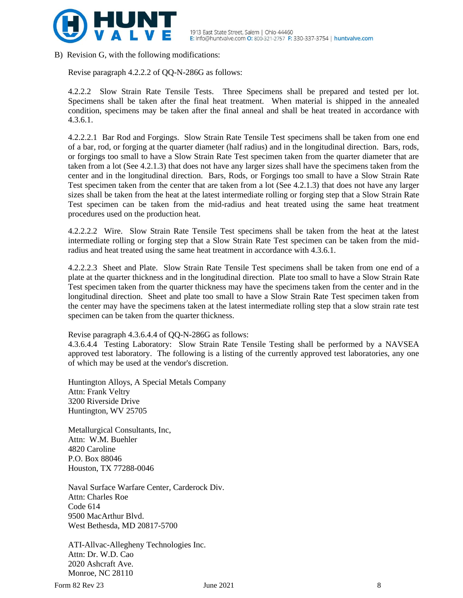

B) Revision G, with the following modifications:

Revise paragraph 4.2.2.2 of QQ-N-286G as follows:

4.2.2.2 Slow Strain Rate Tensile Tests. Three Specimens shall be prepared and tested per lot. Specimens shall be taken after the final heat treatment. When material is shipped in the annealed condition, specimens may be taken after the final anneal and shall be heat treated in accordance with 4.3.6.1.

4.2.2.2.1 Bar Rod and Forgings. Slow Strain Rate Tensile Test specimens shall be taken from one end of a bar, rod, or forging at the quarter diameter (half radius) and in the longitudinal direction. Bars, rods, or forgings too small to have a Slow Strain Rate Test specimen taken from the quarter diameter that are taken from a lot (See 4.2.1.3) that does not have any larger sizes shall have the specimens taken from the center and in the longitudinal direction. Bars, Rods, or Forgings too small to have a Slow Strain Rate Test specimen taken from the center that are taken from a lot (See 4.2.1.3) that does not have any larger sizes shall be taken from the heat at the latest intermediate rolling or forging step that a Slow Strain Rate Test specimen can be taken from the mid-radius and heat treated using the same heat treatment procedures used on the production heat.

4.2.2.2.2 Wire. Slow Strain Rate Tensile Test specimens shall be taken from the heat at the latest intermediate rolling or forging step that a Slow Strain Rate Test specimen can be taken from the midradius and heat treated using the same heat treatment in accordance with 4.3.6.1.

4.2.2.2.3 Sheet and Plate. Slow Strain Rate Tensile Test specimens shall be taken from one end of a plate at the quarter thickness and in the longitudinal direction. Plate too small to have a Slow Strain Rate Test specimen taken from the quarter thickness may have the specimens taken from the center and in the longitudinal direction. Sheet and plate too small to have a Slow Strain Rate Test specimen taken from the center may have the specimens taken at the latest intermediate rolling step that a slow strain rate test specimen can be taken from the quarter thickness.

Revise paragraph 4.3.6.4.4 of QQ-N-286G as follows:

4.3.6.4.4 Testing Laboratory: Slow Strain Rate Tensile Testing shall be performed by a NAVSEA approved test laboratory. The following is a listing of the currently approved test laboratories, any one of which may be used at the vendor's discretion.

Huntington Alloys, A Special Metals Company Attn: Frank Veltry 3200 Riverside Drive Huntington, WV 25705

Metallurgical Consultants, Inc, Attn: W.M. Buehler 4820 Caroline P.O. Box 88046 Houston, TX 77288-0046

Naval Surface Warfare Center, Carderock Div. Attn: Charles Roe Code 614 9500 MacArthur Blvd. West Bethesda, MD 20817-5700

ATI-Allvac-Allegheny Technologies Inc. Attn: Dr. W.D. Cao 2020 Ashcraft Ave. Monroe, NC 28110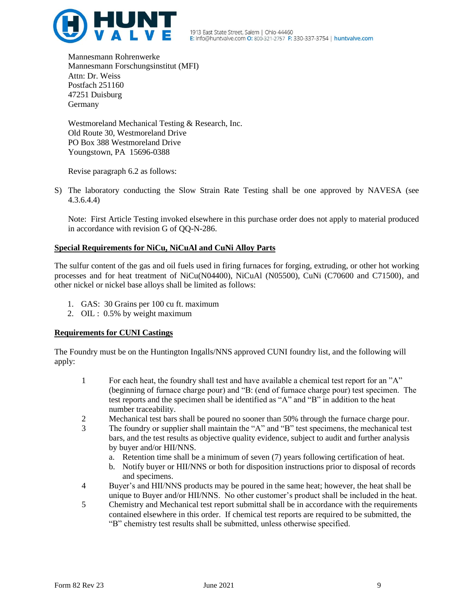

Mannesmann Rohrenwerke Mannesmann Forschungsinstitut (MFI) Attn: Dr. Weiss Postfach 251160 47251 Duisburg Germany

Westmoreland Mechanical Testing & Research, Inc. Old Route 30, Westmoreland Drive PO Box 388 Westmoreland Drive Youngstown, PA 15696-0388

Revise paragraph 6.2 as follows:

S) The laboratory conducting the Slow Strain Rate Testing shall be one approved by NAVESA (see 4.3.6.4.4)

Note: First Article Testing invoked elsewhere in this purchase order does not apply to material produced in accordance with revision G of QQ-N-286.

# **Special Requirements for NiCu, NiCuAl and CuNi Alloy Parts**

The sulfur content of the gas and oil fuels used in firing furnaces for forging, extruding, or other hot working processes and for heat treatment of NiCu(N04400), NiCuAl (N05500), CuNi (C70600 and C71500), and other nickel or nickel base alloys shall be limited as follows:

- 1. GAS: 30 Grains per 100 cu ft. maximum
- 2. OIL : 0.5% by weight maximum

# **Requirements for CUNI Castings**

The Foundry must be on the Huntington Ingalls/NNS approved CUNI foundry list, and the following will apply:

- 1 For each heat, the foundry shall test and have available a chemical test report for an "A" (beginning of furnace charge pour) and "B: (end of furnace charge pour) test specimen. The test reports and the specimen shall be identified as "A" and "B" in addition to the heat number traceability.
- 2 Mechanical test bars shall be poured no sooner than 50% through the furnace charge pour.
- 3 The foundry or supplier shall maintain the "A" and "B" test specimens, the mechanical test bars, and the test results as objective quality evidence, subject to audit and further analysis by buyer and/or HII/NNS.
	- a. Retention time shall be a minimum of seven (7) years following certification of heat.
	- b. Notify buyer or HII/NNS or both for disposition instructions prior to disposal of records and specimens.
- 4 Buyer's and HII/NNS products may be poured in the same heat; however, the heat shall be unique to Buyer and/or HII/NNS. No other customer's product shall be included in the heat.
- 5 Chemistry and Mechanical test report submittal shall be in accordance with the requirements contained elsewhere in this order. If chemical test reports are required to be submitted, the "B" chemistry test results shall be submitted, unless otherwise specified.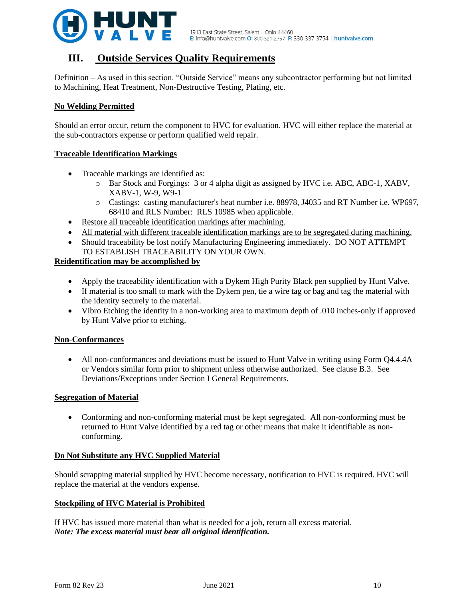

# **III. Outside Services Quality Requirements**

Definition – As used in this section. "Outside Service" means any subcontractor performing but not limited to Machining, Heat Treatment, Non-Destructive Testing, Plating, etc.

# **No Welding Permitted**

Should an error occur, return the component to HVC for evaluation. HVC will either replace the material at the sub-contractors expense or perform qualified weld repair.

# **Traceable Identification Markings**

- Traceable markings are identified as:
	- o Bar Stock and Forgings: 3 or 4 alpha digit as assigned by HVC i.e. ABC, ABC-1, XABV, XABV-1, W-9, W9-1
	- o Castings: casting manufacturer's heat number i.e. 88978, J4035 and RT Number i.e. WP697, 68410 and RLS Number: RLS 10985 when applicable.
- Restore all traceable identification markings after machining.
- All material with different traceable identification markings are to be segregated during machining.
- Should traceability be lost notify Manufacturing Engineering immediately. DO NOT ATTEMPT TO ESTABLISH TRACEABILITY ON YOUR OWN.

# **Reidentification may be accomplished by**

- Apply the traceability identification with a Dykem High Purity Black pen supplied by Hunt Valve.
- If material is too small to mark with the Dykem pen, tie a wire tag or bag and tag the material with the identity securely to the material.
- Vibro Etching the identity in a non-working area to maximum depth of .010 inches-only if approved by Hunt Valve prior to etching.

# **Non-Conformances**

• All non-conformances and deviations must be issued to Hunt Valve in writing using Form O4.4.4A or Vendors similar form prior to shipment unless otherwise authorized. See clause B.3. See Deviations/Exceptions under Section I General Requirements.

#### **Segregation of Material**

• Conforming and non-conforming material must be kept segregated. All non-conforming must be returned to Hunt Valve identified by a red tag or other means that make it identifiable as nonconforming.

# **Do Not Substitute any HVC Supplied Material**

Should scrapping material supplied by HVC become necessary, notification to HVC is required. HVC will replace the material at the vendors expense.

# **Stockpiling of HVC Material is Prohibited**

If HVC has issued more material than what is needed for a job, return all excess material. *Note: The excess material must bear all original identification.*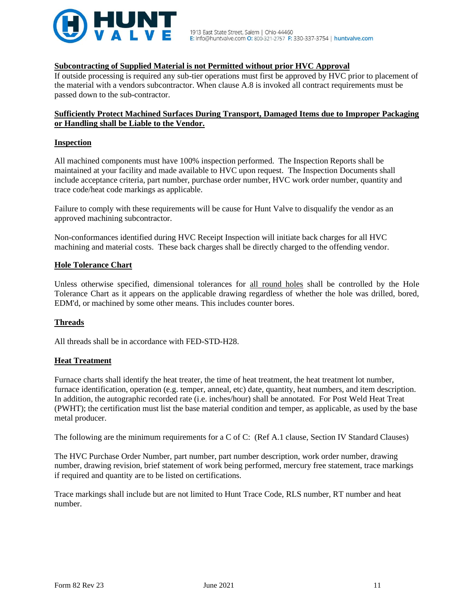

## **Subcontracting of Supplied Material is not Permitted without prior HVC Approval**

If outside processing is required any sub-tier operations must first be approved by HVC prior to placement of the material with a vendors subcontractor. When clause A.8 is invoked all contract requirements must be passed down to the sub-contractor.

# **Sufficiently Protect Machined Surfaces During Transport, Damaged Items due to Improper Packaging or Handling shall be Liable to the Vendor.**

#### **Inspection**

All machined components must have 100% inspection performed. The Inspection Reports shall be maintained at your facility and made available to HVC upon request. The Inspection Documents shall include acceptance criteria, part number, purchase order number, HVC work order number, quantity and trace code/heat code markings as applicable.

Failure to comply with these requirements will be cause for Hunt Valve to disqualify the vendor as an approved machining subcontractor.

Non-conformances identified during HVC Receipt Inspection will initiate back charges for all HVC machining and material costs. These back charges shall be directly charged to the offending vendor.

#### **Hole Tolerance Chart**

Unless otherwise specified, dimensional tolerances for all round holes shall be controlled by the Hole Tolerance Chart as it appears on the applicable drawing regardless of whether the hole was drilled, bored, EDM'd, or machined by some other means. This includes counter bores.

# **Threads**

All threads shall be in accordance with FED-STD-H28.

#### **Heat Treatment**

Furnace charts shall identify the heat treater, the time of heat treatment, the heat treatment lot number, furnace identification, operation (e.g. temper, anneal, etc) date, quantity, heat numbers, and item description. In addition, the autographic recorded rate (i.e. inches/hour) shall be annotated. For Post Weld Heat Treat (PWHT); the certification must list the base material condition and temper, as applicable, as used by the base metal producer.

The following are the minimum requirements for a C of C: (Ref A.1 clause, Section IV Standard Clauses)

The HVC Purchase Order Number, part number, part number description, work order number, drawing number, drawing revision, brief statement of work being performed, mercury free statement, trace markings if required and quantity are to be listed on certifications.

Trace markings shall include but are not limited to Hunt Trace Code, RLS number, RT number and heat number.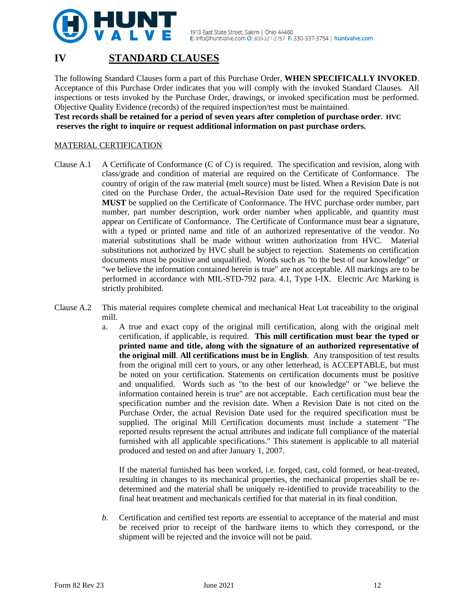

# **IV STANDARD CLAUSES**

The following Standard Clauses form a part of this Purchase Order, **WHEN SPECIFICALLY INVOKED**. Acceptance of this Purchase Order indicates that you will comply with the invoked Standard Clauses. All inspections or tests invoked by the Purchase Order, drawings, or invoked specification must be performed. Objective Quality Evidence (records) of the required inspection/test must be maintained.

**Test records shall be retained for a period of seven years after completion of purchase order. HVC reserves the right to inquire or request additional information on past purchase orders.**

# MATERIAL CERTIFICATION

- Clause A.1 A Certificate of Conformance (C of C) is required. The specification and revision, along with class/grade and condition of material are required on the Certificate of Conformance. The country of origin of the raw material (melt source) must be listed. When a Revision Date is not cited on the Purchase Order, the actual Revision Date used for the required Specification **MUST** be supplied on the Certificate of Conformance. The HVC purchase order number, part number, part number description, work order number when applicable, and quantity must appear on Certificate of Conformance. The Certificate of Conformance must bear a signature, with a typed or printed name and title of an authorized representative of the vendor. No material substitutions shall be made without written authorization from HVC. Material substitutions not authorized by HVC shall be subject to rejection. Statements on certification documents must be positive and unqualified. Words such as "to the best of our knowledge" or "we believe the information contained herein is true" are not acceptable. All markings are to be performed in accordance with MIL-STD-792 para. 4.1, Type I-IX. Electric Arc Marking is strictly prohibited.
- Clause A.2 This material requires complete chemical and mechanical Heat Lot traceability to the original mill.
	- a. A true and exact copy of the original mill certification, along with the original melt certification, if applicable, is required. **This mill certification must bear the typed or printed name and title, along with the signature of an authorized representative of the original mill**. **All certifications must be in English**. Any transposition of test results from the original mill cert to yours, or any other letterhead, is ACCEPTABLE, but must be noted on your certification. Statements on certification documents must be positive and unqualified. Words such as "to the best of our knowledge" or "we believe the information contained herein is true" are not acceptable. Each certification must bear the specification number and the revision date. When a Revision Date is not cited on the Purchase Order, the actual Revision Date used for the required specification must be supplied. The original Mill Certification documents must include a statement "The reported results represent the actual attributes and indicate full compliance of the material furnished with all applicable specifications." This statement is applicable to all material produced and tested on and after January 1, 2007.

If the material furnished has been worked, i.e. forged, cast, cold formed, or heat-treated, resulting in changes to its mechanical properties, the mechanical properties shall be redetermined and the material shall be uniquely re-identified to provide traceability to the final heat treatment and mechanicals certified for that material in its final condition.

*b.* Certification and certified test reports are essential to acceptance of the material and must be received prior to receipt of the hardware items to which they correspond, or the shipment will be rejected and the invoice will not be paid.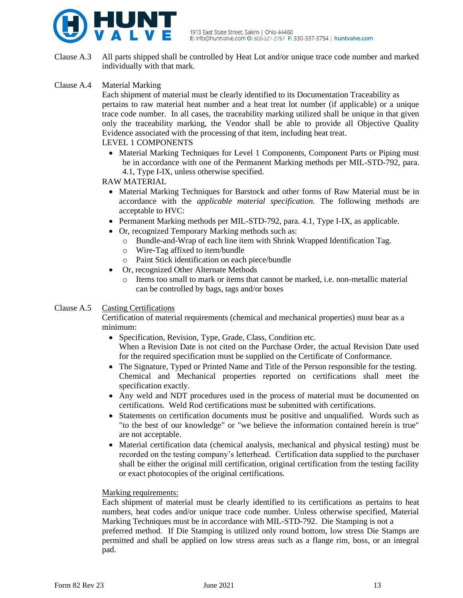

Clause A.3 All parts shipped shall be controlled by Heat Lot and/or unique trace code number and marked individually with that mark.

# Clause A.4 Material Marking

Each shipment of material must be clearly identified to its Documentation Traceability as pertains to raw material heat number and a heat treat lot number (if applicable) or a unique trace code number. In all cases, the traceability marking utilized shall be unique in that given only the traceability marking, the Vendor shall be able to provide all Objective Quality Evidence associated with the processing of that item, including heat treat. LEVEL 1 COMPONENTS

• Material Marking Techniques for Level 1 Components, Component Parts or Piping must be in accordance with one of the Permanent Marking methods per MIL-STD-792, para. 4.1, Type I-IX, unless otherwise specified.

# RAW MATERIAL

- Material Marking Techniques for Barstock and other forms of Raw Material must be in accordance with the *applicable material specification.* The following methods are acceptable to HVC:
- Permanent Marking methods per MIL-STD-792, para. 4.1, Type I-IX, as applicable.
- Or, recognized Temporary Marking methods such as:
	- o Bundle-and-Wrap of each line item with Shrink Wrapped Identification Tag.
	- o Wire-Tag affixed to item/bundle
	- o Paint Stick identification on each piece/bundle
- Or, recognized Other Alternate Methods
	- o Items too small to mark or items that cannot be marked, i.e. non-metallic material can be controlled by bags, tags and/or boxes

# Clause A.5 Casting Certifications

Certification of material requirements (chemical and mechanical properties) must bear as a minimum:

- Specification, Revision, Type, Grade, Class, Condition etc. When a Revision Date is not cited on the Purchase Order, the actual Revision Date used for the required specification must be supplied on the Certificate of Conformance.
- The Signature, Typed or Printed Name and Title of the Person responsible for the testing. Chemical and Mechanical properties reported on certifications shall meet the specification exactly.
- Any weld and NDT procedures used in the process of material must be documented on certifications. Weld Rod certifications must be submitted with certifications.
- Statements on certification documents must be positive and unqualified. Words such as "to the best of our knowledge" or "we believe the information contained herein is true" are not acceptable.
- Material certification data (chemical analysis, mechanical and physical testing) must be recorded on the testing company's letterhead. Certification data supplied to the purchaser shall be either the original mill certification, original certification from the testing facility or exact photocopies of the original certifications.

#### Marking requirements:

Each shipment of material must be clearly identified to its certifications as pertains to heat numbers, heat codes and/or unique trace code number. Unless otherwise specified, Material Marking Techniques must be in accordance with MIL-STD-792. Die Stamping is not a preferred method. If Die Stamping is utilized only round bottom, low stress Die Stamps are permitted and shall be applied on low stress areas such as a flange rim, boss, or an integral pad.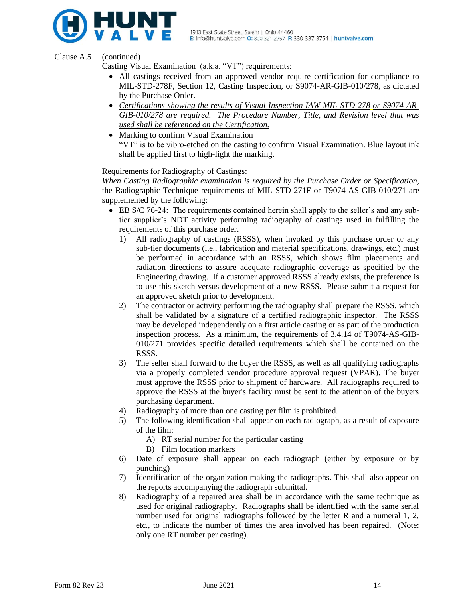

Clause A.5 (continued)

Casting Visual Examination (a.k.a. "VT") requirements:

- All castings received from an approved vendor require certification for compliance to MIL-STD-278F, Section 12, Casting Inspection, or S9074-AR-GIB-010/278, as dictated by the Purchase Order.
- *Certifications showing the results of Visual Inspection IAW MIL-STD-278 or S9074-AR-GIB-010/278 are required. The Procedure Number, Title, and Revision level that was used shall be referenced on the Certification.*
- Marking to confirm Visual Examination "VT" is to be vibro-etched on the casting to confirm Visual Examination. Blue layout ink shall be applied first to high-light the marking.

Requirements for Radiography of Castings:

*When Casting Radiographic examination is required by the Purchase Order or Specification,* the Radiographic Technique requirements of MIL-STD-271F or T9074-AS-GIB-010/271 are supplemented by the following:

- EB S/C 76-24: The requirements contained herein shall apply to the seller's and any subtier supplier's NDT activity performing radiography of castings used in fulfilling the requirements of this purchase order.
	- 1) All radiography of castings (RSSS), when invoked by this purchase order or any sub-tier documents (i.e., fabrication and material specifications, drawings, etc.) must be performed in accordance with an RSSS, which shows film placements and radiation directions to assure adequate radiographic coverage as specified by the Engineering drawing. If a customer approved RSSS already exists, the preference is to use this sketch versus development of a new RSSS. Please submit a request for an approved sketch prior to development.
	- 2) The contractor or activity performing the radiography shall prepare the RSSS, which shall be validated by a signature of a certified radiographic inspector. The RSSS may be developed independently on a first article casting or as part of the production inspection process. As a minimum, the requirements of 3.4.14 of T9074-AS-GIB-010/271 provides specific detailed requirements which shall be contained on the RSSS.
	- 3) The seller shall forward to the buyer the RSSS, as well as all qualifying radiographs via a properly completed vendor procedure approval request (VPAR). The buyer must approve the RSSS prior to shipment of hardware. All radiographs required to approve the RSSS at the buyer's facility must be sent to the attention of the buyers purchasing department.
	- 4) Radiography of more than one casting per film is prohibited.
	- 5) The following identification shall appear on each radiograph, as a result of exposure of the film:
		- A) RT serial number for the particular casting
		- B) Film location markers
	- 6) Date of exposure shall appear on each radiograph (either by exposure or by punching)
	- 7) Identification of the organization making the radiographs. This shall also appear on the reports accompanying the radiograph submittal.
	- 8) Radiography of a repaired area shall be in accordance with the same technique as used for original radiography. Radiographs shall be identified with the same serial number used for original radiographs followed by the letter R and a numeral 1, 2, etc., to indicate the number of times the area involved has been repaired. (Note: only one RT number per casting).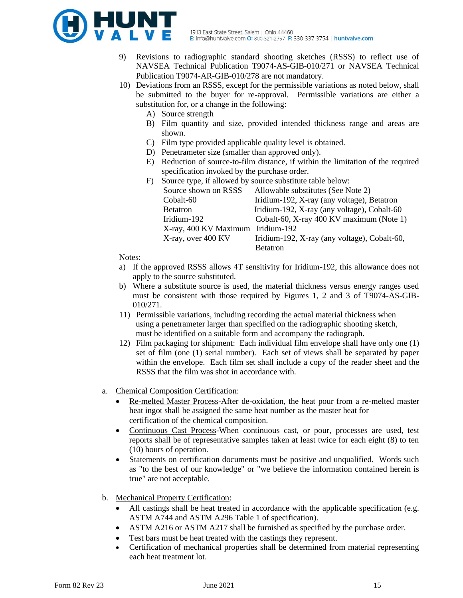

- 9) Revisions to radiographic standard shooting sketches (RSSS) to reflect use of NAVSEA Technical Publication T9074-AS-GIB-010/271 or NAVSEA Technical Publication T9074-AR-GIB-010/278 are not mandatory.
- 10) Deviations from an RSSS, except for the permissible variations as noted below, shall be submitted to the buyer for re-approval. Permissible variations are either a substitution for, or a change in the following:
	- A) Source strength
	- B) Film quantity and size, provided intended thickness range and areas are shown.
	- C) Film type provided applicable quality level is obtained.
	- D) Penetrameter size (smaller than approved only).
	- E) Reduction of source-to-film distance, if within the limitation of the required specification invoked by the purchase order.

| F) | Source type, if allowed by source substitute table below: |                                              |  |
|----|-----------------------------------------------------------|----------------------------------------------|--|
|    | Source shown on RSSS                                      | Allowable substitutes (See Note 2)           |  |
|    | Cobalt-60                                                 | Iridium-192, X-ray (any voltage), Betatron   |  |
|    | <b>Betatron</b>                                           | Iridium-192, X-ray (any voltage), Cobalt-60  |  |
|    | Iridium-192                                               | Cobalt-60, X-ray 400 KV maximum (Note 1)     |  |
|    | X-ray, 400 KV Maximum Iridium-192                         |                                              |  |
|    | X-ray, over 400 KV                                        | Iridium-192, X-ray (any voltage), Cobalt-60, |  |
|    |                                                           | <b>Retatron</b>                              |  |

Notes:

- a) If the approved RSSS allows 4T sensitivity for Iridium-192, this allowance does not apply to the source substituted.
- b) Where a substitute source is used, the material thickness versus energy ranges used must be consistent with those required by Figures 1, 2 and 3 of T9074-AS-GIB-010/271.
- 11) Permissible variations, including recording the actual material thickness when using a penetrameter larger than specified on the radiographic shooting sketch, must be identified on a suitable form and accompany the radiograph.
- 12) Film packaging for shipment: Each individual film envelope shall have only one (1) set of film (one (1) serial number). Each set of views shall be separated by paper within the envelope. Each film set shall include a copy of the reader sheet and the RSSS that the film was shot in accordance with.
- a. Chemical Composition Certification:
	- Re-melted Master Process-After de-oxidation, the heat pour from a re-melted master heat ingot shall be assigned the same heat number as the master heat for certification of the chemical composition.
	- Continuous Cast Process-When continuous cast, or pour, processes are used, test reports shall be of representative samples taken at least twice for each eight (8) to ten (10) hours of operation.
	- Statements on certification documents must be positive and unqualified. Words such as "to the best of our knowledge" or "we believe the information contained herein is true" are not acceptable.
- b. Mechanical Property Certification:
	- All castings shall be heat treated in accordance with the applicable specification (e.g. ASTM A744 and ASTM A296 Table 1 of specification).
	- ASTM A216 or ASTM A217 shall be furnished as specified by the purchase order.
	- Test bars must be heat treated with the castings they represent.
	- Certification of mechanical properties shall be determined from material representing each heat treatment lot.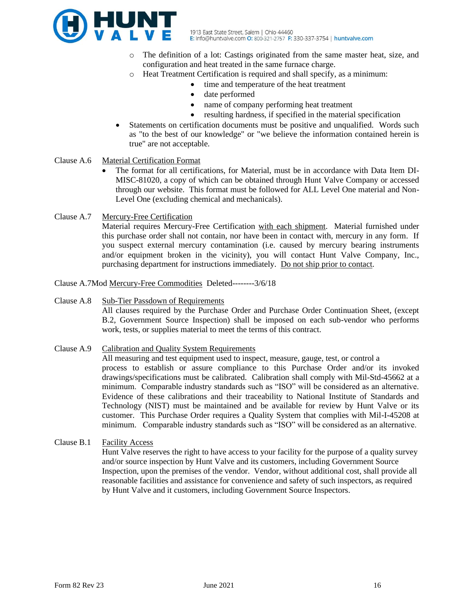

- o The definition of a lot: Castings originated from the same master heat, size, and configuration and heat treated in the same furnace charge.
- o Heat Treatment Certification is required and shall specify, as a minimum:
	- time and temperature of the heat treatment
		- date performed
		- name of company performing heat treatment
		- resulting hardness, if specified in the material specification
- Statements on certification documents must be positive and unqualified. Words such as "to the best of our knowledge" or "we believe the information contained herein is true" are not acceptable.
- Clause A.6 Material Certification Format
	- The format for all certifications, for Material, must be in accordance with Data Item DI-MISC-81020, a copy of which can be obtained through Hunt Valve Company or accessed through our website. This format must be followed for ALL Level One material and Non-Level One (excluding chemical and mechanicals).
- Clause A.7 Mercury-Free Certification

Material requires Mercury-Free Certification with each shipment. Material furnished under this purchase order shall not contain, nor have been in contact with, mercury in any form. If you suspect external mercury contamination (i.e. caused by mercury bearing instruments and/or equipment broken in the vicinity), you will contact Hunt Valve Company, Inc., purchasing department for instructions immediately. Do not ship prior to contact.

Clause A.7Mod Mercury-Free Commodities Deleted--------3/6/18

- Clause A.8 Sub-Tier Passdown of Requirements All clauses required by the Purchase Order and Purchase Order Continuation Sheet, (except B.2, Government Source Inspection) shall be imposed on each sub-vendor who performs work, tests, or supplies material to meet the terms of this contract.
- Clause A.9 Calibration and Quality System Requirements All measuring and test equipment used to inspect, measure, gauge, test, or control a process to establish or assure compliance to this Purchase Order and/or its invoked drawings/specifications must be calibrated. Calibration shall comply with Mil-Std-45662 at a minimum. Comparable industry standards such as "ISO" will be considered as an alternative. Evidence of these calibrations and their traceability to National Institute of Standards and Technology (NIST) must be maintained and be available for review by Hunt Valve or its customer. This Purchase Order requires a Quality System that complies with Mil-I-45208 at minimum. Comparable industry standards such as "ISO" will be considered as an alternative.
- Clause B.1 Facility Access

Hunt Valve reserves the right to have access to your facility for the purpose of a quality survey and/or source inspection by Hunt Valve and its customers, including Government Source Inspection, upon the premises of the vendor. Vendor, without additional cost, shall provide all reasonable facilities and assistance for convenience and safety of such inspectors, as required by Hunt Valve and it customers, including Government Source Inspectors.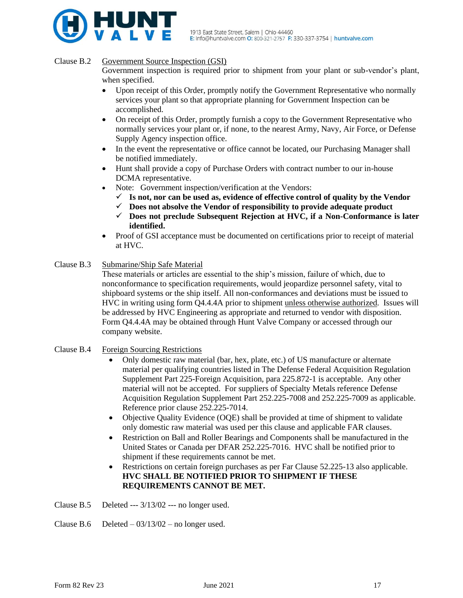

#### Clause B.2 Government Source Inspection (GSI)

Government inspection is required prior to shipment from your plant or sub-vendor's plant, when specified.

- Upon receipt of this Order, promptly notify the Government Representative who normally services your plant so that appropriate planning for Government Inspection can be accomplished.
- On receipt of this Order, promptly furnish a copy to the Government Representative who normally services your plant or, if none, to the nearest Army, Navy, Air Force, or Defense Supply Agency inspection office.
- In the event the representative or office cannot be located, our Purchasing Manager shall be notified immediately.
- Hunt shall provide a copy of Purchase Orders with contract number to our in-house DCMA representative.
- Note: Government inspection/verification at the Vendors:
	- $\checkmark$  Is not, nor can be used as, evidence of effective control of quality by the Vendor
	- ✓ **Does not absolve the Vendor of responsibility to provide adequate product**
	- ✓ **Does not preclude Subsequent Rejection at HVC, if a Non-Conformance is later identified.**
- Proof of GSI acceptance must be documented on certifications prior to receipt of material at HVC.
- Clause B.3 Submarine/Ship Safe Material

These materials or articles are essential to the ship's mission, failure of which, due to nonconformance to specification requirements, would jeopardize personnel safety, vital to shipboard systems or the ship itself. All non-conformances and deviations must be issued to HVC in writing using form Q4.4.4A prior to shipment unless otherwise authorized. Issues will be addressed by HVC Engineering as appropriate and returned to vendor with disposition. Form Q4.4.4A may be obtained through Hunt Valve Company or accessed through our company website.

- Clause B.4 Foreign Sourcing Restrictions
	- Only domestic raw material (bar, hex, plate, etc.) of US manufacture or alternate material per qualifying countries listed in The Defense Federal Acquisition Regulation Supplement Part 225-Foreign Acquisition, para 225.872-1 is acceptable. Any other material will not be accepted. For suppliers of Specialty Metals reference Defense Acquisition Regulation Supplement Part 252.225-7008 and 252.225-7009 as applicable. Reference prior clause 252.225-7014.
	- Objective Quality Evidence (OQE) shall be provided at time of shipment to validate only domestic raw material was used per this clause and applicable FAR clauses.
	- Restriction on Ball and Roller Bearings and Components shall be manufactured in the United States or Canada per DFAR 252.225-7016. HVC shall be notified prior to shipment if these requirements cannot be met.
	- Restrictions on certain foreign purchases as per Far Clause 52.225-13 also applicable. **HVC SHALL BE NOTIFIED PRIOR TO SHIPMENT IF THESE REQUIREMENTS CANNOT BE MET.**

Clause B.5 Deleted --- 3/13/02 --- no longer used.

Clause B.6 Deleted  $-03/13/02$  – no longer used.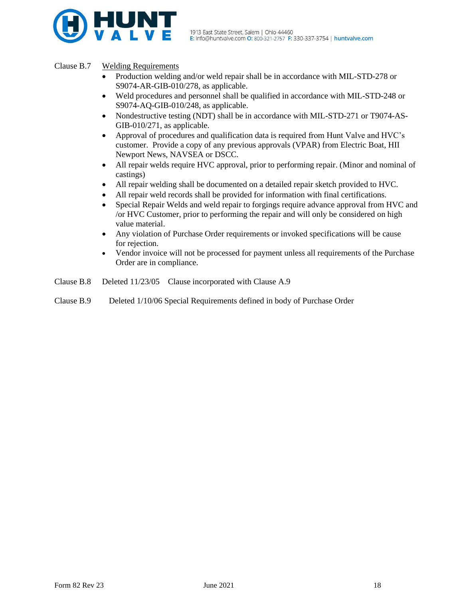

# Clause B.7 Welding Requirements

- Production welding and/or weld repair shall be in accordance with MIL-STD-278 or S9074-AR-GIB-010/278, as applicable.
- Weld procedures and personnel shall be qualified in accordance with MIL-STD-248 or S9074-AQ-GIB-010/248, as applicable.
- Nondestructive testing (NDT) shall be in accordance with MIL-STD-271 or T9074-AS-GIB-010/271, as applicable.
- Approval of procedures and qualification data is required from Hunt Valve and HVC's customer. Provide a copy of any previous approvals (VPAR) from Electric Boat, HII Newport News, NAVSEA or DSCC.
- All repair welds require HVC approval, prior to performing repair. (Minor and nominal of castings)
- All repair welding shall be documented on a detailed repair sketch provided to HVC.
- All repair weld records shall be provided for information with final certifications.
- Special Repair Welds and weld repair to forgings require advance approval from HVC and /or HVC Customer, prior to performing the repair and will only be considered on high value material.
- Any violation of Purchase Order requirements or invoked specifications will be cause for rejection.
- Vendor invoice will not be processed for payment unless all requirements of the Purchase Order are in compliance.
- Clause B.8 Deleted 11/23/05 Clause incorporated with Clause A.9
- Clause B.9 Deleted 1/10/06 Special Requirements defined in body of Purchase Order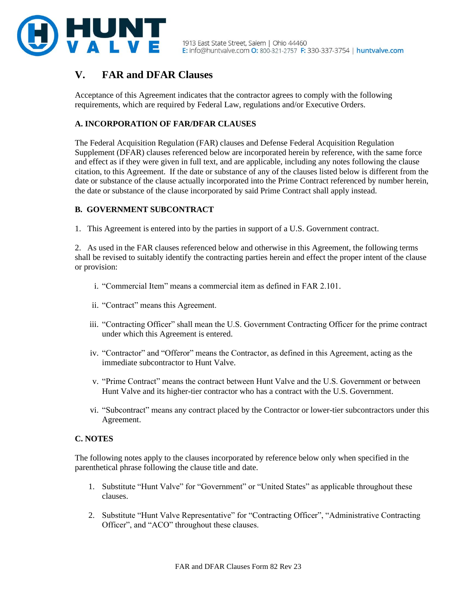

# **V. FAR and DFAR Clauses**

Acceptance of this Agreement indicates that the contractor agrees to comply with the following requirements, which are required by Federal Law, regulations and/or Executive Orders.

# **A. INCORPORATION OF FAR/DFAR CLAUSES**

The Federal Acquisition Regulation (FAR) clauses and Defense Federal Acquisition Regulation Supplement (DFAR) clauses referenced below are incorporated herein by reference, with the same force and effect as if they were given in full text, and are applicable, including any notes following the clause citation, to this Agreement. If the date or substance of any of the clauses listed below is different from the date or substance of the clause actually incorporated into the Prime Contract referenced by number herein, the date or substance of the clause incorporated by said Prime Contract shall apply instead.

# **B. GOVERNMENT SUBCONTRACT**

1. This Agreement is entered into by the parties in support of a U.S. Government contract.

2. As used in the FAR clauses referenced below and otherwise in this Agreement, the following terms shall be revised to suitably identify the contracting parties herein and effect the proper intent of the clause or provision:

- i. "Commercial Item" means a commercial item as defined in FAR 2.101.
- ii. "Contract" means this Agreement.
- iii. "Contracting Officer" shall mean the U.S. Government Contracting Officer for the prime contract under which this Agreement is entered.
- iv. "Contractor" and "Offeror" means the Contractor, as defined in this Agreement, acting as the immediate subcontractor to Hunt Valve.
- v. "Prime Contract" means the contract between Hunt Valve and the U.S. Government or between Hunt Valve and its higher-tier contractor who has a contract with the U.S. Government.
- vi. "Subcontract" means any contract placed by the Contractor or lower-tier subcontractors under this Agreement.

# **C. NOTES**

The following notes apply to the clauses incorporated by reference below only when specified in the parenthetical phrase following the clause title and date.

- 1. Substitute "Hunt Valve" for "Government" or "United States" as applicable throughout these clauses.
- 2. Substitute "Hunt Valve Representative" for "Contracting Officer", "Administrative Contracting Officer", and "ACO" throughout these clauses.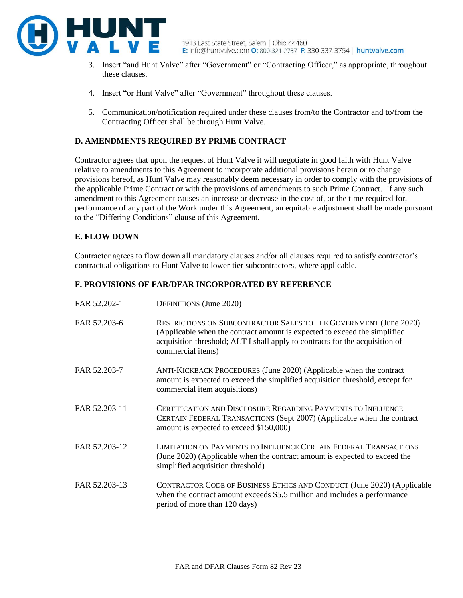

- these clauses.
- 4. Insert "or Hunt Valve" after "Government" throughout these clauses.
- 5. Communication/notification required under these clauses from/to the Contractor and to/from the Contracting Officer shall be through Hunt Valve.

# **D. AMENDMENTS REQUIRED BY PRIME CONTRACT**

Contractor agrees that upon the request of Hunt Valve it will negotiate in good faith with Hunt Valve relative to amendments to this Agreement to incorporate additional provisions herein or to change provisions hereof, as Hunt Valve may reasonably deem necessary in order to comply with the provisions of the applicable Prime Contract or with the provisions of amendments to such Prime Contract. If any such amendment to this Agreement causes an increase or decrease in the cost of, or the time required for, performance of any part of the Work under this Agreement, an equitable adjustment shall be made pursuant to the "Differing Conditions" clause of this Agreement.

# **E. FLOW DOWN**

Contractor agrees to flow down all mandatory clauses and/or all clauses required to satisfy contractor's contractual obligations to Hunt Valve to lower-tier subcontractors, where applicable.

# **F. PROVISIONS OF FAR/DFAR INCORPORATED BY REFERENCE**

| FAR 52.202-1  | <b>DEFINITIONS</b> (June 2020)                                                                                                                                                                                                                             |
|---------------|------------------------------------------------------------------------------------------------------------------------------------------------------------------------------------------------------------------------------------------------------------|
| FAR 52.203-6  | <b>RESTRICTIONS ON SUBCONTRACTOR SALES TO THE GOVERNMENT (June 2020)</b><br>(Applicable when the contract amount is expected to exceed the simplified<br>acquisition threshold; ALT I shall apply to contracts for the acquisition of<br>commercial items) |
| FAR 52.203-7  | ANTI-KICKBACK PROCEDURES (June 2020) (Applicable when the contract<br>amount is expected to exceed the simplified acquisition threshold, except for<br>commercial item acquisitions)                                                                       |
| FAR 52.203-11 | CERTIFICATION AND DISCLOSURE REGARDING PAYMENTS TO INFLUENCE<br>CERTAIN FEDERAL TRANSACTIONS (Sept 2007) (Applicable when the contract<br>amount is expected to exceed \$150,000)                                                                          |
| FAR 52.203-12 | <b>LIMITATION ON PAYMENTS TO INFLUENCE CERTAIN FEDERAL TRANSACTIONS</b><br>(June 2020) (Applicable when the contract amount is expected to exceed the<br>simplified acquisition threshold)                                                                 |
| FAR 52.203-13 | CONTRACTOR CODE OF BUSINESS ETHICS AND CONDUCT (June 2020) (Applicable<br>when the contract amount exceeds \$5.5 million and includes a performance<br>period of more than 120 days)                                                                       |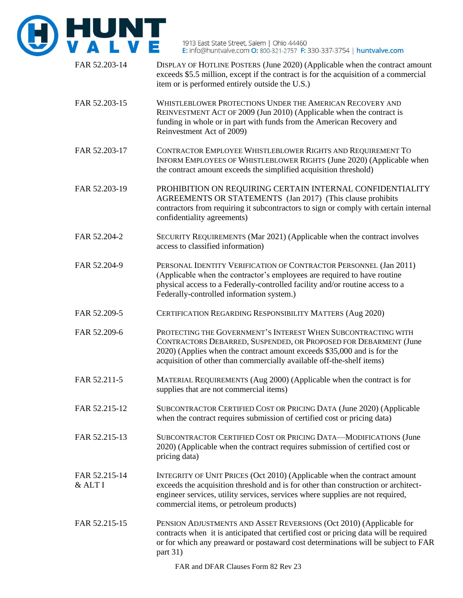

FAR 52.203-14 DISPLAY OF HOTLINE POSTERS (June 2020) (Applicable when the contract amount exceeds \$5.5 million, except if the contract is for the acquisition of a commercial item or is performed entirely outside the U.S.) FAR 52.203-15 WHISTLEBLOWER PROTECTIONS UNDER THE AMERICAN RECOVERY AND REINVESTMENT ACT OF 2009 (Jun 2010) (Applicable when the contract is funding in whole or in part with funds from the American Recovery and Reinvestment Act of 2009) FAR 52.203-17 CONTRACTOR EMPLOYEE WHISTLEBLOWER RIGHTS AND REQUIREMENT TO INFORM EMPLOYEES OF WHISTLEBLOWER RIGHTS (June 2020) (Applicable when the contract amount exceeds the simplified acquisition threshold) FAR 52.203-19 PROHIBITION ON REQUIRING CERTAIN INTERNAL CONFIDENTIALITY AGREEMENTS OR STATEMENTS (Jan 2017) (This clause prohibits contractors from requiring it subcontractors to sign or comply with certain internal confidentiality agreements) FAR 52.204-2 SECURITY REQUIREMENTS (Mar 2021) (Applicable when the contract involves access to classified information) FAR 52.204-9 PERSONAL IDENTITY VERIFICATION OF CONTRACTOR PERSONNEL (Jan 2011) (Applicable when the contractor's employees are required to have routine physical access to a Federally-controlled facility and/or routine access to a Federally-controlled information system.) FAR 52.209-5 CERTIFICATION REGARDING RESPONSIBILITY MATTERS (Aug 2020) FAR 52.209-6 PROTECTING THE GOVERNMENT'S INTEREST WHEN SUBCONTRACTING WITH CONTRACTORS DEBARRED, SUSPENDED, OR PROPOSED FOR DEBARMENT (June 2020) (Applies when the contract amount exceeds \$35,000 and is for the acquisition of other than commercially available off-the-shelf items) FAR 52.211-5 MATERIAL REQUIREMENTS (Aug 2000) (Applicable when the contract is for supplies that are not commercial items) FAR 52.215-12 SUBCONTRACTOR CERTIFIED COST OR PRICING DATA (June 2020) (Applicable when the contract requires submission of certified cost or pricing data) FAR 52.215-13 SUBCONTRACTOR CERTIFIED COST OR PRICING DATA—MODIFICATIONS (June 2020) (Applicable when the contract requires submission of certified cost or pricing data) FAR 52.215-14 INTEGRITY OF UNIT PRICES (Oct 2010) (Applicable when the contract amount & ALT I exceeds the acquisition threshold and is for other than construction or architectengineer services, utility services, services where supplies are not required, commercial items, or petroleum products) FAR 52.215-15 PENSION ADJUSTMENTS AND ASSET REVERSIONS (Oct 2010) (Applicable for contracts when it is anticipated that certified cost or pricing data will be required or for which any preaward or postaward cost determinations will be subject to FAR part 31)

FAR and DFAR Clauses Form 82 Rev 23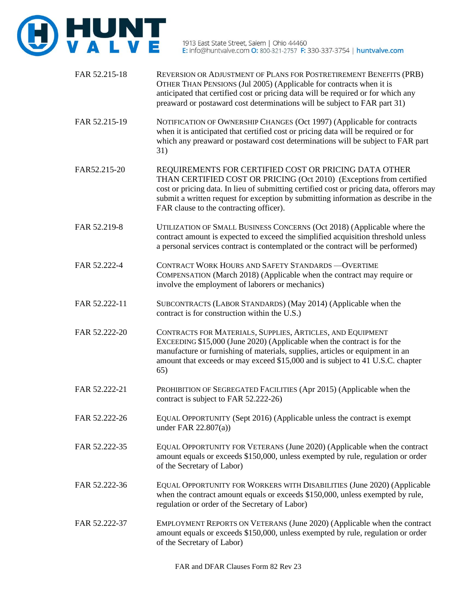

- FAR 52.215-18 REVERSION OR ADJUSTMENT OF PLANS FOR POSTRETIREMENT BENEFITS (PRB) OTHER THAN PENSIONS (Jul 2005) (Applicable for contracts when it is anticipated that certified cost or pricing data will be required or for which any preaward or postaward cost determinations will be subject to FAR part 31)
- FAR 52.215-19 NOTIFICATION OF OWNERSHIP CHANGES (Oct 1997) (Applicable for contracts when it is anticipated that certified cost or pricing data will be required or for which any preaward or postaward cost determinations will be subject to FAR part 31)
- FAR52.215-20 REQUIREMENTS FOR CERTIFIED COST OR PRICING DATA OTHER THAN CERTIFIED COST OR PRICING (Oct 2010) (Exceptions from certified cost or pricing data. In lieu of submitting certified cost or pricing data, offerors may submit a written request for exception by submitting information as describe in the FAR clause to the contracting officer).
- FAR 52.219-8 UTILIZATION OF SMALL BUSINESS CONCERNS (Oct 2018) (Applicable where the contract amount is expected to exceed the simplified acquisition threshold unless a personal services contract is contemplated or the contract will be performed)
- FAR 52.222-4 CONTRACT WORK HOURS AND SAFETY STANDARDS —OVERTIME COMPENSATION (March 2018) (Applicable when the contract may require or involve the employment of laborers or mechanics)
- FAR 52.222-11 SUBCONTRACTS (LABOR STANDARDS) (May 2014) (Applicable when the contract is for construction within the U.S.)
- FAR 52.222-20 CONTRACTS FOR MATERIALS, SUPPLIES, ARTICLES, AND EQUIPMENT EXCEEDING \$15,000 (June 2020) (Applicable when the contract is for the manufacture or furnishing of materials, supplies, articles or equipment in an amount that exceeds or may exceed \$15,000 and is subject to 41 U.S.C. chapter 65)
- FAR 52.222-21 PROHIBITION OF SEGREGATED FACILITIES (Apr 2015) (Applicable when the contract is subject to FAR 52.222-26)
- FAR 52.222-26 EQUAL OPPORTUNITY (Sept 2016) (Applicable unless the contract is exempt under FAR 22.807(a))
- FAR 52.222-35 EQUAL OPPORTUNITY FOR VETERANS (June 2020) (Applicable when the contract amount equals or exceeds \$150,000, unless exempted by rule, regulation or order of the Secretary of Labor)
- FAR 52.222-36 EQUAL OPPORTUNITY FOR WORKERS WITH DISABILITIES (June 2020) (Applicable when the contract amount equals or exceeds \$150,000, unless exempted by rule, regulation or order of the Secretary of Labor)
- FAR 52.222-37 EMPLOYMENT REPORTS ON VETERANS (June 2020) (Applicable when the contract amount equals or exceeds \$150,000, unless exempted by rule, regulation or order of the Secretary of Labor)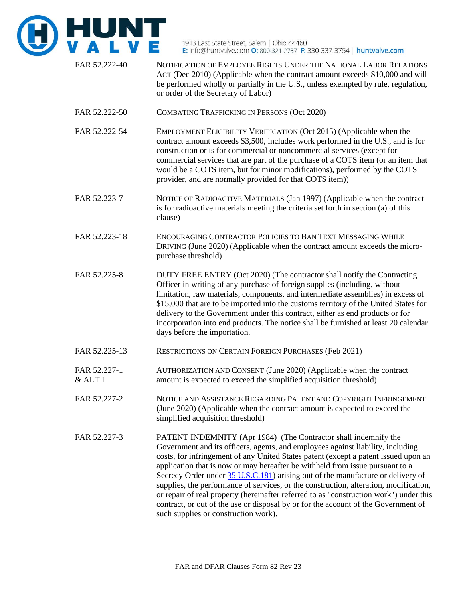

FAR 52.222-40 NOTIFICATION OF EMPLOYEE RIGHTS UNDER THE NATIONAL LABOR RELATIONS ACT (Dec 2010) (Applicable when the contract amount exceeds \$10,000 and will be performed wholly or partially in the U.S., unless exempted by rule, regulation, or order of the Secretary of Labor) FAR 52.222-50 COMBATING TRAFFICKING IN PERSONS (Oct 2020) FAR 52.222-54 EMPLOYMENT ELIGIBILITY VERIFICATION (Oct 2015) (Applicable when the contract amount exceeds \$3,500, includes work performed in the U.S., and is for construction or is for commercial or noncommercial services (except for commercial services that are part of the purchase of a COTS item (or an item that would be a COTS item, but for minor modifications), performed by the COTS provider, and are normally provided for that COTS item)) FAR 52.223-7 NOTICE OF RADIOACTIVE MATERIALS (Jan 1997) (Applicable when the contract is for radioactive materials meeting the criteria set forth in section (a) of this clause) FAR 52.223-18 ENCOURAGING CONTRACTOR POLICIES TO BAN TEXT MESSAGING WHILE DRIVING (June 2020) (Applicable when the contract amount exceeds the micropurchase threshold) FAR 52.225-8 DUTY FREE ENTRY (Oct 2020) (The contractor shall notify the Contracting Officer in writing of any purchase of foreign supplies (including, without limitation, raw materials, components, and intermediate assemblies) in excess of \$15,000 that are to be imported into the customs territory of the United States for delivery to the Government under this contract, either as end products or for incorporation into end products. The notice shall be furnished at least 20 calendar days before the importation. FAR 52.225-13 RESTRICTIONS ON CERTAIN FOREIGN PURCHASES (Feb 2021) FAR 52.227-1 AUTHORIZATION AND CONSENT (June 2020) (Applicable when the contract & ALT I amount is expected to exceed the simplified acquisition threshold) FAR 52.227-2 NOTICE AND ASSISTANCE REGARDING PATENT AND COPYRIGHT INFRINGEMENT (June 2020) (Applicable when the contract amount is expected to exceed the simplified acquisition threshold) FAR 52.227-3 PATENT INDEMNITY (Apr 1984) (The Contractor shall indemnify the Government and its officers, agents, and employees against liability, including costs, for infringement of any United States patent (except a patent issued upon an application that is now or may hereafter be withheld from issue pursuant to a Secrecy Order under [35 U.S.C.181\)](http://uscode.house.gov/browse.xhtml;jsessionid=114A3287C7B3359E597506A31FC855B3) arising out of the manufacture or delivery of supplies, the performance of services, or the construction, alteration, modification, or repair of real property (hereinafter referred to as "construction work") under this

such supplies or construction work).

contract, or out of the use or disposal by or for the account of the Government of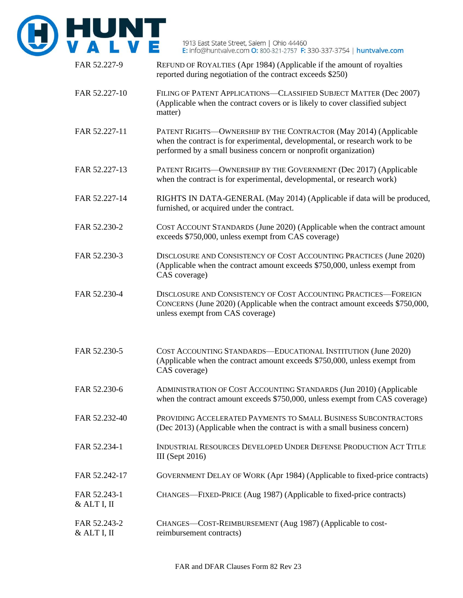

| FAR 52.227-9                | REFUND OF ROYALTIES (Apr 1984) (Applicable if the amount of royalties<br>reported during negotiation of the contract exceeds \$250)                                                                                  |
|-----------------------------|----------------------------------------------------------------------------------------------------------------------------------------------------------------------------------------------------------------------|
| FAR 52.227-10               | FILING OF PATENT APPLICATIONS-CLASSIFIED SUBJECT MATTER (Dec 2007)<br>(Applicable when the contract covers or is likely to cover classified subject<br>matter)                                                       |
| FAR 52.227-11               | PATENT RIGHTS-OWNERSHIP BY THE CONTRACTOR (May 2014) (Applicable<br>when the contract is for experimental, developmental, or research work to be<br>performed by a small business concern or nonprofit organization) |
| FAR 52.227-13               | PATENT RIGHTS-OWNERSHIP BY THE GOVERNMENT (Dec 2017) (Applicable<br>when the contract is for experimental, developmental, or research work)                                                                          |
| FAR 52.227-14               | RIGHTS IN DATA-GENERAL (May 2014) (Applicable if data will be produced,<br>furnished, or acquired under the contract.                                                                                                |
| FAR 52.230-2                | COST ACCOUNT STANDARDS (June 2020) (Applicable when the contract amount<br>exceeds \$750,000, unless exempt from CAS coverage)                                                                                       |
| FAR 52.230-3                | DISCLOSURE AND CONSISTENCY OF COST ACCOUNTING PRACTICES (June 2020)<br>(Applicable when the contract amount exceeds \$750,000, unless exempt from<br>CAS coverage)                                                   |
| FAR 52.230-4                | DISCLOSURE AND CONSISTENCY OF COST ACCOUNTING PRACTICES-FOREIGN<br>CONCERNS (June 2020) (Applicable when the contract amount exceeds \$750,000,<br>unless exempt from CAS coverage)                                  |
| FAR 52.230-5                | COST ACCOUNTING STANDARDS-EDUCATIONAL INSTITUTION (June 2020)<br>(Applicable when the contract amount exceeds \$750,000, unless exempt from<br>CAS coverage)                                                         |
| FAR 52.230-6                | ADMINISTRATION OF COST ACCOUNTING STANDARDS (Jun 2010) (Applicable<br>when the contract amount exceeds \$750,000, unless exempt from CAS coverage)                                                                   |
| FAR 52.232-40               | PROVIDING ACCELERATED PAYMENTS TO SMALL BUSINESS SUBCONTRACTORS<br>(Dec 2013) (Applicable when the contract is with a small business concern)                                                                        |
| FAR 52.234-1                | INDUSTRIAL RESOURCES DEVELOPED UNDER DEFENSE PRODUCTION ACT TITLE<br><b>III</b> (Sept 2016)                                                                                                                          |
| FAR 52.242-17               | GOVERNMENT DELAY OF WORK (Apr 1984) (Applicable to fixed-price contracts)                                                                                                                                            |
| FAR 52.243-1<br>& ALT I, II | CHANGES—FIXED-PRICE (Aug 1987) (Applicable to fixed-price contracts)                                                                                                                                                 |
| FAR 52.243-2<br>& ALT I, II | CHANGES—COST-REIMBURSEMENT (Aug 1987) (Applicable to cost-<br>reimbursement contracts)                                                                                                                               |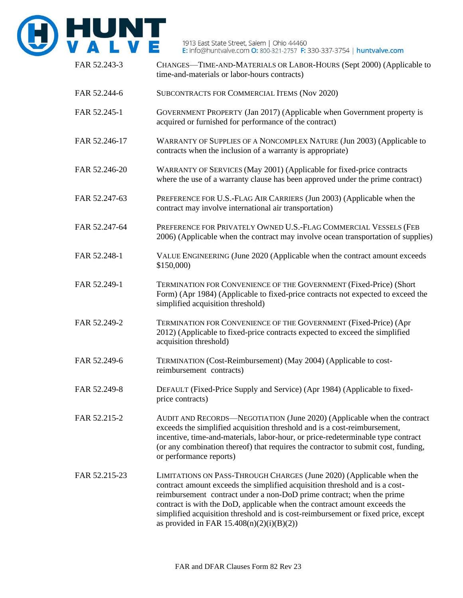

| FAR 52.243-3  | CHANGES-TIME-AND-MATERIALS OR LABOR-HOURS (Sept 2000) (Applicable to<br>time-and-materials or labor-hours contracts)                                                                                                                                                                                                                                                                                                                          |
|---------------|-----------------------------------------------------------------------------------------------------------------------------------------------------------------------------------------------------------------------------------------------------------------------------------------------------------------------------------------------------------------------------------------------------------------------------------------------|
| FAR 52.244-6  | SUBCONTRACTS FOR COMMERCIAL ITEMS (Nov 2020)                                                                                                                                                                                                                                                                                                                                                                                                  |
| FAR 52.245-1  | GOVERNMENT PROPERTY (Jan 2017) (Applicable when Government property is<br>acquired or furnished for performance of the contract)                                                                                                                                                                                                                                                                                                              |
| FAR 52.246-17 | WARRANTY OF SUPPLIES OF A NONCOMPLEX NATURE (Jun 2003) (Applicable to<br>contracts when the inclusion of a warranty is appropriate)                                                                                                                                                                                                                                                                                                           |
| FAR 52.246-20 | WARRANTY OF SERVICES (May 2001) (Applicable for fixed-price contracts<br>where the use of a warranty clause has been approved under the prime contract)                                                                                                                                                                                                                                                                                       |
| FAR 52.247-63 | PREFERENCE FOR U.S.-FLAG AIR CARRIERS (Jun 2003) (Applicable when the<br>contract may involve international air transportation)                                                                                                                                                                                                                                                                                                               |
| FAR 52.247-64 | PREFERENCE FOR PRIVATELY OWNED U.S.-FLAG COMMERCIAL VESSELS (FEB<br>2006) (Applicable when the contract may involve ocean transportation of supplies)                                                                                                                                                                                                                                                                                         |
| FAR 52.248-1  | VALUE ENGINEERING (June 2020 (Applicable when the contract amount exceeds<br>\$150,000)                                                                                                                                                                                                                                                                                                                                                       |
| FAR 52.249-1  | TERMINATION FOR CONVENIENCE OF THE GOVERNMENT (Fixed-Price) (Short<br>Form) (Apr 1984) (Applicable to fixed-price contracts not expected to exceed the<br>simplified acquisition threshold)                                                                                                                                                                                                                                                   |
| FAR 52.249-2  | TERMINATION FOR CONVENIENCE OF THE GOVERNMENT (Fixed-Price) (Apr<br>2012) (Applicable to fixed-price contracts expected to exceed the simplified<br>acquisition threshold)                                                                                                                                                                                                                                                                    |
| FAR 52.249-6  | TERMINATION (Cost-Reimbursement) (May 2004) (Applicable to cost-<br>reimbursement contracts)                                                                                                                                                                                                                                                                                                                                                  |
| FAR 52.249-8  | DEFAULT (Fixed-Price Supply and Service) (Apr 1984) (Applicable to fixed-<br>price contracts)                                                                                                                                                                                                                                                                                                                                                 |
| FAR 52.215-2  | AUDIT AND RECORDS—NEGOTIATION (June 2020) (Applicable when the contract<br>exceeds the simplified acquisition threshold and is a cost-reimbursement,<br>incentive, time-and-materials, labor-hour, or price-redeterminable type contract<br>(or any combination thereof) that requires the contractor to submit cost, funding,<br>or performance reports)                                                                                     |
| FAR 52.215-23 | LIMITATIONS ON PASS-THROUGH CHARGES (June 2020) (Applicable when the<br>contract amount exceeds the simplified acquisition threshold and is a cost-<br>reimbursement contract under a non-DoD prime contract; when the prime<br>contract is with the DoD, applicable when the contract amount exceeds the<br>simplified acquisition threshold and is cost-reimbursement or fixed price, except<br>as provided in FAR $15.408(n)(2)(i)(B)(2))$ |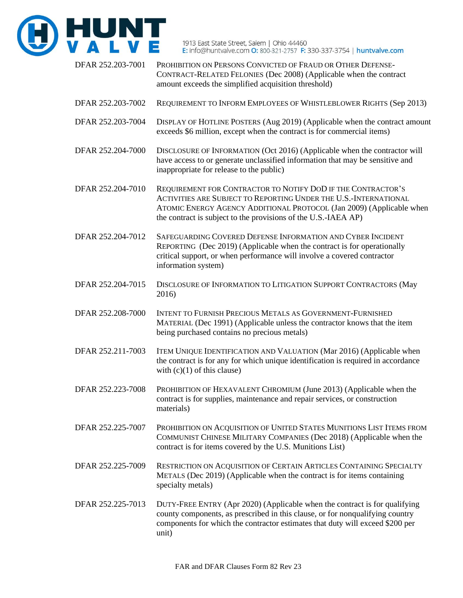

DFAR 252.203-7001 PROHIBITION ON PERSONS CONVICTED OF FRAUD OR OTHER DEFENSE-CONTRACT-RELATED FELONIES (Dec 2008) (Applicable when the contract amount exceeds the simplified acquisition threshold) DFAR 252.203-7002 REQUIREMENT TO INFORM EMPLOYEES OF WHISTLEBLOWER RIGHTS (Sep 2013) DFAR 252.203-7004 DISPLAY OF HOTLINE POSTERS (Aug 2019) (Applicable when the contract amount exceeds \$6 million, except when the contract is for commercial items) DFAR 252.204-7000 DISCLOSURE OF INFORMATION (Oct 2016) (Applicable when the contractor will have access to or generate unclassified information that may be sensitive and inappropriate for release to the public) DFAR 252.204-7010 REQUIREMENT FOR CONTRACTOR TO NOTIFY DOD IF THE CONTRACTOR'S ACTIVITIES ARE SUBJECT TO REPORTING UNDER THE U.S.-INTERNATIONAL ATOMIC ENERGY AGENCY ADDITIONAL PROTOCOL (Jan 2009) (Applicable when the contract is subject to the provisions of the U.S.-IAEA AP) DFAR 252.204-7012 SAFEGUARDING COVERED DEFENSE INFORMATION AND CYBER INCIDENT REPORTING (Dec 2019) (Applicable when the contract is for operationally critical support, or when performance will involve a covered contractor information system) DFAR 252.204-7015 DISCLOSURE OF INFORMATION TO LITIGATION SUPPORT CONTRACTORS (May 2016) DFAR 252.208-7000 INTENT TO FURNISH PRECIOUS METALS AS GOVERNMENT-FURNISHED MATERIAL (Dec 1991) (Applicable unless the contractor knows that the item being purchased contains no precious metals) DFAR 252.211-7003 ITEM UNIQUE IDENTIFICATION AND VALUATION (Mar 2016) (Applicable when the contract is for any for which unique identification is required in accordance with  $(c)(1)$  of this clause) DFAR 252.223-7008 PROHIBITION OF HEXAVALENT CHROMIUM (June 2013) (Applicable when the contract is for supplies, maintenance and repair services, or construction materials) DFAR 252.225-7007 PROHIBITION ON ACQUISITION OF UNITED STATES MUNITIONS LIST ITEMS FROM COMMUNIST CHINESE MILITARY COMPANIES (Dec 2018) (Applicable when the contract is for items covered by the U.S. Munitions List) DFAR 252.225-7009 RESTRICTION ON ACQUISITION OF CERTAIN ARTICLES CONTAINING SPECIALTY METALS (Dec 2019) (Applicable when the contract is for items containing specialty metals) DFAR 252.225-7013 DUTY-FREE ENTRY (Apr 2020) (Applicable when the contract is for qualifying county components, as prescribed in this clause, or for nonqualifying country components for which the contractor estimates that duty will exceed \$200 per unit)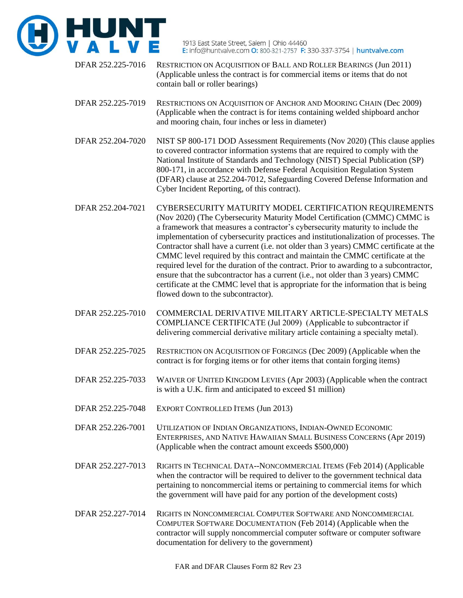

- DFAR 252.225-7016 RESTRICTION ON ACQUISITION OF BALL AND ROLLER BEARINGS (Jun 2011) (Applicable unless the contract is for commercial items or items that do not contain ball or roller bearings)
- DFAR 252.225-7019 RESTRICTIONS ON ACQUISITION OF ANCHOR AND MOORING CHAIN (Dec 2009) (Applicable when the contract is for items containing welded shipboard anchor and mooring chain, four inches or less in diameter)
- DFAR 252.204-7020 NIST SP 800-171 DOD Assessment Requirements (Nov 2020) (This clause applies to covered contractor information systems that are required to comply with the National Institute of Standards and Technology (NIST) Special Publication (SP) 800-171, in accordance with Defense Federal Acquisition Regulation System (DFAR) clause at 252.204-7012, Safeguarding Covered Defense Information and Cyber Incident Reporting, of this contract).
- DFAR 252.204-7021 CYBERSECURITY MATURITY MODEL CERTIFICATION REQUIREMENTS (Nov 2020) (The Cybersecurity Maturity Model Certification (CMMC) CMMC is a framework that measures a contractor's cybersecurity maturity to include the implementation of cybersecurity practices and institutionalization of processes. The Contractor shall have a current (i.e. not older than 3 years) CMMC certificate at the CMMC level required by this contract and maintain the CMMC certificate at the required level for the duration of the contract. Prior to awarding to a subcontractor, ensure that the subcontractor has a current (i.e., not older than 3 years) CMMC certificate at the CMMC level that is appropriate for the information that is being flowed down to the subcontractor).
- DFAR 252.225-7010 COMMERCIAL DERIVATIVE MILITARY ARTICLE-SPECIALTY METALS COMPLIANCE CERTIFICATE (Jul 2009) (Applicable to subcontractor if delivering commercial derivative military article containing a specialty metal).
- DFAR 252.225-7025 RESTRICTION ON ACQUISITION OF FORGINGS (Dec 2009) (Applicable when the contract is for forging items or for other items that contain forging items)
- DFAR 252.225-7033 WAIVER OF UNITED KINGDOM LEVIES (Apr 2003) (Applicable when the contract is with a U.K. firm and anticipated to exceed \$1 million)
- DFAR 252.225-7048 EXPORT CONTROLLED ITEMS (Jun 2013)
- DFAR 252.226-7001 UTILIZATION OF INDIAN ORGANIZATIONS, INDIAN-OWNED ECONOMIC ENTERPRISES, AND NATIVE HAWAIIAN SMALL BUSINESS CONCERNS (Apr 2019) (Applicable when the contract amount exceeds \$500,000)
- DFAR 252.227-7013 RIGHTS IN TECHNICAL DATA--NONCOMMERCIAL ITEMS (Feb 2014) (Applicable when the contractor will be required to deliver to the government technical data pertaining to noncommercial items or pertaining to commercial items for which the government will have paid for any portion of the development costs)
- DFAR 252.227-7014 RIGHTS IN NONCOMMERCIAL COMPUTER SOFTWARE AND NONCOMMERCIAL COMPUTER SOFTWARE DOCUMENTATION (Feb 2014) (Applicable when the contractor will supply noncommercial computer software or computer software documentation for delivery to the government)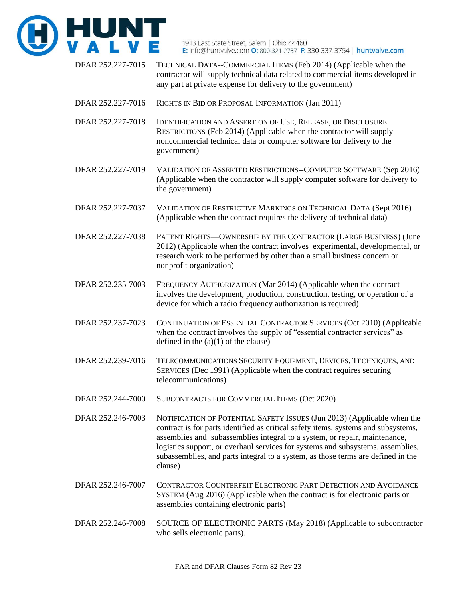

- DFAR 252.227-7015 TECHNICAL DATA--COMMERCIAL ITEMS (Feb 2014) (Applicable when the contractor will supply technical data related to commercial items developed in any part at private expense for delivery to the government)
- DFAR 252.227-7016 RIGHTS IN BID OR PROPOSAL INFORMATION (Jan 2011)
- DFAR 252.227-7018 IDENTIFICATION AND ASSERTION OF USE, RELEASE, OR DISCLOSURE RESTRICTIONS (Feb 2014) (Applicable when the contractor will supply noncommercial technical data or computer software for delivery to the government)
- DFAR 252.227-7019 VALIDATION OF ASSERTED RESTRICTIONS--COMPUTER SOFTWARE (Sep 2016) (Applicable when the contractor will supply computer software for delivery to the government)
- DFAR 252.227-7037 VALIDATION OF RESTRICTIVE MARKINGS ON TECHNICAL DATA (Sept 2016) (Applicable when the contract requires the delivery of technical data)
- DFAR 252.227-7038 PATENT RIGHTS—OWNERSHIP BY THE CONTRACTOR (LARGE BUSINESS) (June 2012) (Applicable when the contract involves experimental, developmental, or research work to be performed by other than a small business concern or nonprofit organization)
- DFAR 252.235-7003 FREQUENCY AUTHORIZATION (Mar 2014) (Applicable when the contract involves the development, production, construction, testing, or operation of a device for which a radio frequency authorization is required)
- DFAR 252.237-7023 CONTINUATION OF ESSENTIAL CONTRACTOR SERVICES (Oct 2010) (Applicable when the contract involves the supply of "essential contractor services" as defined in the  $(a)(1)$  of the clause)
- DFAR 252.239-7016 TELECOMMUNICATIONS SECURITY EQUIPMENT, DEVICES, TECHNIQUES, AND SERVICES (Dec 1991) (Applicable when the contract requires securing telecommunications)
- DFAR 252.244-7000 SUBCONTRACTS FOR COMMERCIAL ITEMS (Oct 2020)
- DFAR 252.246-7003 NOTIFICATION OF POTENTIAL SAFETY ISSUES (Jun 2013) (Applicable when the contract is for parts identified as critical safety items, systems and subsystems, assemblies and subassemblies integral to a system, or repair, maintenance, logistics support, or overhaul services for systems and subsystems, assemblies, subassemblies, and parts integral to a system, as those terms are defined in the clause)
- DFAR 252.246-7007 CONTRACTOR COUNTERFEIT ELECTRONIC PART DETECTION AND AVOIDANCE SYSTEM (Aug 2016) (Applicable when the contract is for electronic parts or assemblies containing electronic parts)
- DFAR 252.246-7008 SOURCE OF ELECTRONIC PARTS (May 2018) (Applicable to subcontractor who sells electronic parts).